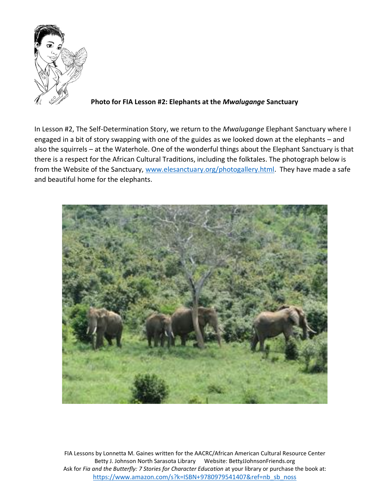

**Photo for FIA Lesson #2: Elephants at the** *Mwalugange* **Sanctuary**

In Lesson #2, The Self-Determination Story, we return to the *Mwalugange* Elephant Sanctuary where I engaged in a bit of story swapping with one of the guides as we looked down at the elephants – and also the squirrels – at the Waterhole. One of the wonderful things about the Elephant Sanctuary is that there is a respect for the African Cultural Traditions, including the folktales. The photograph below is from the Website of the Sanctuary, [www.elesanctuary.org/photogallery.html.](http://www.elesanctuary.org/photogallery.html) They have made a safe and beautiful home for the elephants.

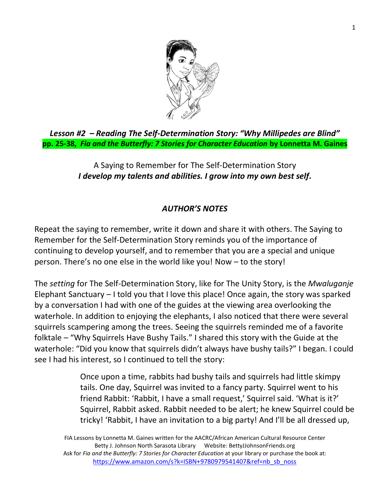

*Lesson #2 – Reading The Self-Determination Story: "Why Millipedes are Blind"* **pp. 25-38,** *Fia and the Butterfly: 7 Stories for Character Education* **by Lonnetta M. Gaines**

> A Saying to Remember for The Self-Determination Story *I develop my talents and abilities. I grow into my own best self.*

## *AUTHOR'S NOTES*

Repeat the saying to remember, write it down and share it with others. The Saying to Remember for the Self-Determination Story reminds you of the importance of continuing to develop yourself, and to remember that you are a special and unique person. There's no one else in the world like you! Now – to the story!

The *setting* for The Self-Determination Story, like for The Unity Story, is the *Mwaluganje*  Elephant Sanctuary – I told you that I love this place! Once again, the story was sparked by a conversation I had with one of the guides at the viewing area overlooking the waterhole. In addition to enjoying the elephants, I also noticed that there were several squirrels scampering among the trees. Seeing the squirrels reminded me of a favorite folktale – "Why Squirrels Have Bushy Tails." I shared this story with the Guide at the waterhole: "Did you know that squirrels didn't always have bushy tails?" I began. I could see I had his interest, so I continued to tell the story:

> Once upon a time, rabbits had bushy tails and squirrels had little skimpy tails. One day, Squirrel was invited to a fancy party. Squirrel went to his friend Rabbit: 'Rabbit, I have a small request,' Squirrel said. 'What is it?' Squirrel, Rabbit asked. Rabbit needed to be alert; he knew Squirrel could be tricky! 'Rabbit, I have an invitation to a big party! And I'll be all dressed up,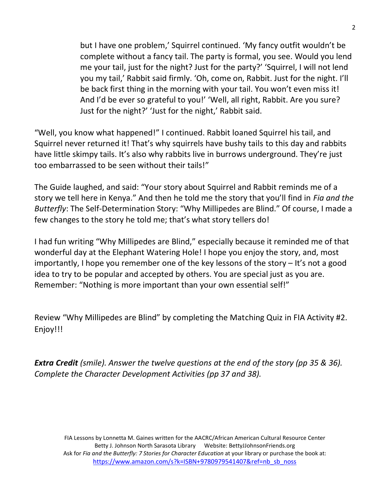but I have one problem,' Squirrel continued. 'My fancy outfit wouldn't be complete without a fancy tail. The party is formal, you see. Would you lend me your tail, just for the night? Just for the party?' 'Squirrel, I will not lend you my tail,' Rabbit said firmly. 'Oh, come on, Rabbit. Just for the night. I'll be back first thing in the morning with your tail. You won't even miss it! And I'd be ever so grateful to you!' 'Well, all right, Rabbit. Are you sure? Just for the night?' 'Just for the night,' Rabbit said.

"Well, you know what happened!" I continued. Rabbit loaned Squirrel his tail, and Squirrel never returned it! That's why squirrels have bushy tails to this day and rabbits have little skimpy tails. It's also why rabbits live in burrows underground. They're just too embarrassed to be seen without their tails!"

The Guide laughed, and said: "Your story about Squirrel and Rabbit reminds me of a story we tell here in Kenya." And then he told me the story that you'll find in *Fia and the Butterfly*: The Self-Determination Story: "Why Millipedes are Blind." Of course, I made a few changes to the story he told me; that's what story tellers do!

I had fun writing "Why Millipedes are Blind," especially because it reminded me of that wonderful day at the Elephant Watering Hole! I hope you enjoy the story, and, most importantly, I hope you remember one of the key lessons of the story – It's not a good idea to try to be popular and accepted by others. You are special just as you are. Remember: "Nothing is more important than your own essential self!"

Review "Why Millipedes are Blind" by completing the Matching Quiz in FIA Activity #2. Enjoy!!!

*Extra Credit (smile). Answer the twelve questions at the end of the story (pp 35 & 36). Complete the Character Development Activities (pp 37 and 38).*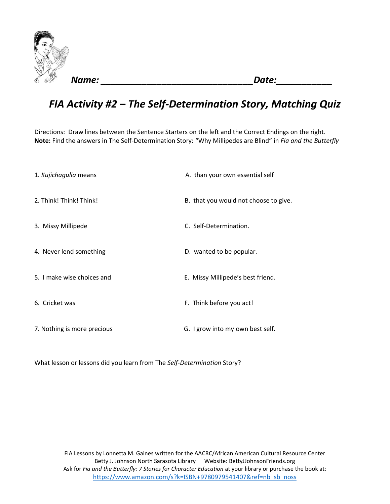

*Name: \_\_\_\_\_\_\_\_\_\_\_\_\_\_\_\_\_\_\_\_\_\_\_\_\_\_\_\_\_\_Date:\_\_\_\_\_\_\_\_\_\_\_*

## *FIA Activity #2 – The Self-Determination Story, Matching Quiz*

Directions: Draw lines between the Sentence Starters on the left and the Correct Endings on the right. **Note:** Find the answers in The Self-Determination Story: "Why Millipedes are Blind" in *Fia and the Butterfly*

| 1. Kujichagulia means       | A. than your own essential self       |
|-----------------------------|---------------------------------------|
| 2. Think! Think! Think!     | B. that you would not choose to give. |
| 3. Missy Millipede          | C. Self-Determination.                |
| 4. Never lend something     | D. wanted to be popular.              |
| 5. I make wise choices and  | E. Missy Millipede's best friend.     |
| 6. Cricket was              | F. Think before you act!              |
| 7. Nothing is more precious | G. I grow into my own best self.      |

What lesson or lessons did you learn from The *Self-Determination* Story?